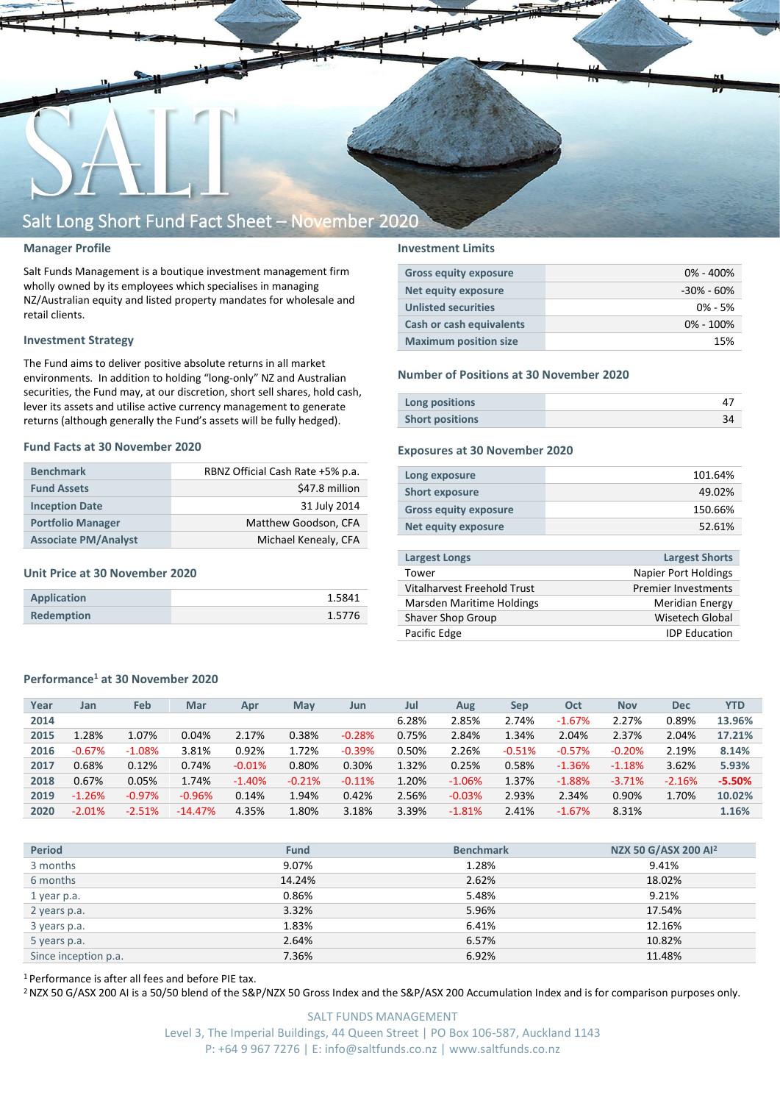

#### **Manager Profile**

Salt Funds Management is a boutique investment management firm wholly owned by its employees which specialises in managing NZ/Australian equity and listed property mandates for wholesale and retail clients.

#### **Investment Strategy**

The Fund aims to deliver positive absolute returns in all market environments. In addition to holding "long-only" NZ and Australian securities, the Fund may, at our discretion, short sell shares, hold cash, lever its assets and utilise active currency management to generate returns (although generally the Fund's assets will be fully hedged).

#### **Fund Facts at 30 November 2020**

| <b>Benchmark</b>            | RBNZ Official Cash Rate +5% p.a. |
|-----------------------------|----------------------------------|
| <b>Fund Assets</b>          | \$47.8 million                   |
| <b>Inception Date</b>       | 31 July 2014                     |
| <b>Portfolio Manager</b>    | Matthew Goodson, CFA             |
| <b>Associate PM/Analyst</b> | Michael Kenealy, CFA             |

#### **Unit Price at 30 November 2020**

| Application       | 1.5841 |
|-------------------|--------|
| <b>Redemption</b> | 1.5776 |

#### **Investment Limits**

| <b>Gross equity exposure</b> | $0\% - 400\%$  |
|------------------------------|----------------|
| Net equity exposure          | $-30\% - 60\%$ |
| <b>Unlisted securities</b>   | $0\% - 5\%$    |
| Cash or cash equivalents     | $0\% - 100\%$  |
| <b>Maximum position size</b> | 15%            |

#### **Number of Positions at 30 November 2020**

| Long positions         |  |
|------------------------|--|
| <b>Short positions</b> |  |

#### **Exposures at 30 November 2020**

| Long exposure                | 101.64% |
|------------------------------|---------|
| <b>Short exposure</b>        | 49.02%  |
| <b>Gross equity exposure</b> | 150.66% |
| Net equity exposure          | 52.61%  |
|                              |         |

| <b>Largest Longs</b>        | <b>Largest Shorts</b>      |
|-----------------------------|----------------------------|
| Tower                       | Napier Port Holdings       |
| Vitalharvest Freehold Trust | <b>Premier Investments</b> |
| Marsden Maritime Holdings   | <b>Meridian Energy</b>     |
| Shaver Shop Group           | Wisetech Global            |
| Pacific Edge                | <b>IDP Education</b>       |
|                             |                            |

#### **Performance<sup>1</sup> at 30 November 2020**

| Year | Jan      | Feb      | Mar       | Apr      | May      | Jun      | Jul   | Aug      | Sep      | Oct      | <b>Nov</b> | <b>Dec</b> | <b>YTD</b> |
|------|----------|----------|-----------|----------|----------|----------|-------|----------|----------|----------|------------|------------|------------|
| 2014 |          |          |           |          |          |          | 6.28% | 2.85%    | 2.74%    | $-1.67%$ | 2.27%      | 0.89%      | 13.96%     |
| 2015 | 1.28%    | 1.07%    | 0.04%     | 2.17%    | 0.38%    | $-0.28%$ | 0.75% | 2.84%    | 1.34%    | 2.04%    | 2.37%      | 2.04%      | 17.21%     |
| 2016 | $-0.67%$ | $-1.08%$ | 3.81%     | 0.92%    | 1.72%    | $-0.39%$ | 0.50% | 2.26%    | $-0.51%$ | $-0.57%$ | $-0.20%$   | 2.19%      | 8.14%      |
| 2017 | 0.68%    | 0.12%    | 0.74%     | $-0.01%$ | 0.80%    | 0.30%    | 1.32% | 0.25%    | 0.58%    | $-1.36%$ | $-1.18%$   | 3.62%      | 5.93%      |
| 2018 | 0.67%    | 0.05%    | 1.74%     | $-1.40%$ | $-0.21%$ | $-0.11%$ | 1.20% | $-1.06%$ | 1.37%    | $-1.88%$ | $-3.71%$   | $-2.16%$   | $-5.50%$   |
| 2019 | $-1.26%$ | $-0.97%$ | $-0.96%$  | 0.14%    | 1.94%    | 0.42%    | 2.56% | $-0.03%$ | 2.93%    | 2.34%    | 0.90%      | 1.70%      | 10.02%     |
| 2020 | $-2.01%$ | $-2.51%$ | $-14.47%$ | 4.35%    | 1.80%    | 3.18%    | 3.39% | $-1.81%$ | 2.41%    | $-1.67%$ | 8.31%      |            | 1.16%      |
|      |          |          |           |          |          |          |       |          |          |          |            |            |            |

| <b>Period</b>        | <b>Fund</b> | <b>Benchmark</b> | NZX 50 G/ASX 200 Al <sup>2</sup> |
|----------------------|-------------|------------------|----------------------------------|
| 3 months             | 9.07%       | 1.28%            | 9.41%                            |
| 6 months             | 14.24%      | 2.62%            | 18.02%                           |
| 1 year p.a.          | 0.86%       | 5.48%            | 9.21%                            |
| 2 years p.a.         | 3.32%       | 5.96%            | 17.54%                           |
| 3 years p.a.         | 1.83%       | 6.41%            | 12.16%                           |
| 5 years p.a.         | 2.64%       | 6.57%            | 10.82%                           |
| Since inception p.a. | 7.36%       | 6.92%            | 11.48%                           |

<sup>1</sup> Performance is after all fees and before PIE tax.

<sup>2</sup> NZX 50 G/ASX 200 AI is a 50/50 blend of the S&P/NZX 50 Gross Index and the S&P/ASX 200 Accumulation Index and is for comparison purposes only.

SALT FUNDS MANAGEMENT Level 3, The Imperial Buildings, 44 Queen Street | PO Box 106-587, Auckland 1143 P: +64 9 967 7276 | E: info@saltfunds.co.nz | www.saltfunds.co.nz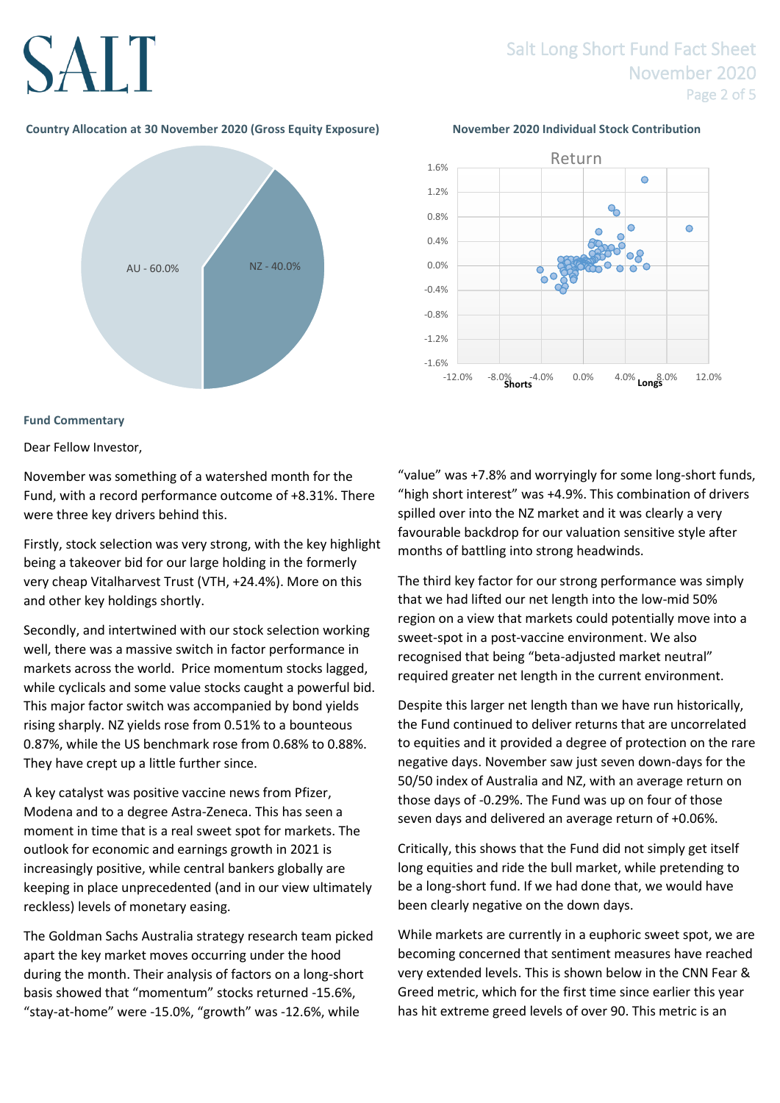# SALT

### Salt Long Short Fund Fact Sheet November 2020 Page 2 of 5

#### **Country Allocation at 30 November 2020 (Gross Equity Exposure) November 2020 Individual Stock Contribution**



### **Fund Commentary**

### Dear Fellow Investor,

November was something of a watershed month for the Fund, with a record performance outcome of +8.31%. There were three key drivers behind this.

Firstly, stock selection was very strong, with the key highlight being a takeover bid for our large holding in the formerly very cheap Vitalharvest Trust (VTH, +24.4%). More on this and other key holdings shortly.

Secondly, and intertwined with our stock selection working well, there was a massive switch in factor performance in markets across the world. Price momentum stocks lagged, while cyclicals and some value stocks caught a powerful bid. This major factor switch was accompanied by bond yields rising sharply. NZ yields rose from 0.51% to a bounteous 0.87%, while the US benchmark rose from 0.68% to 0.88%. They have crept up a little further since.

A key catalyst was positive vaccine news from Pfizer, Modena and to a degree Astra-Zeneca. This has seen a moment in time that is a real sweet spot for markets. The outlook for economic and earnings growth in 2021 is increasingly positive, while central bankers globally are keeping in place unprecedented (and in our view ultimately reckless) levels of monetary easing.

The Goldman Sachs Australia strategy research team picked apart the key market moves occurring under the hood during the month. Their analysis of factors on a long-short basis showed that "momentum" stocks returned -15.6%, "stay-at-home" were -15.0%, "growth" was -12.6%, while



"value" was +7.8% and worryingly for some long-short funds, "high short interest" was +4.9%. This combination of drivers spilled over into the NZ market and it was clearly a very favourable backdrop for our valuation sensitive style after months of battling into strong headwinds.

The third key factor for our strong performance was simply that we had lifted our net length into the low-mid 50% region on a view that markets could potentially move into a sweet-spot in a post-vaccine environment. We also recognised that being "beta-adjusted market neutral" required greater net length in the current environment.

Despite this larger net length than we have run historically, the Fund continued to deliver returns that are uncorrelated to equities and it provided a degree of protection on the rare negative days. November saw just seven down-days for the 50/50 index of Australia and NZ, with an average return on those days of -0.29%. The Fund was up on four of those seven days and delivered an average return of +0.06%.

Critically, this shows that the Fund did not simply get itself long equities and ride the bull market, while pretending to be a long-short fund. If we had done that, we would have been clearly negative on the down days.

While markets are currently in a euphoric sweet spot, we are becoming concerned that sentiment measures have reached very extended levels. This is shown below in the CNN Fear & Greed metric, which for the first time since earlier this year has hit extreme greed levels of over 90. This metric is an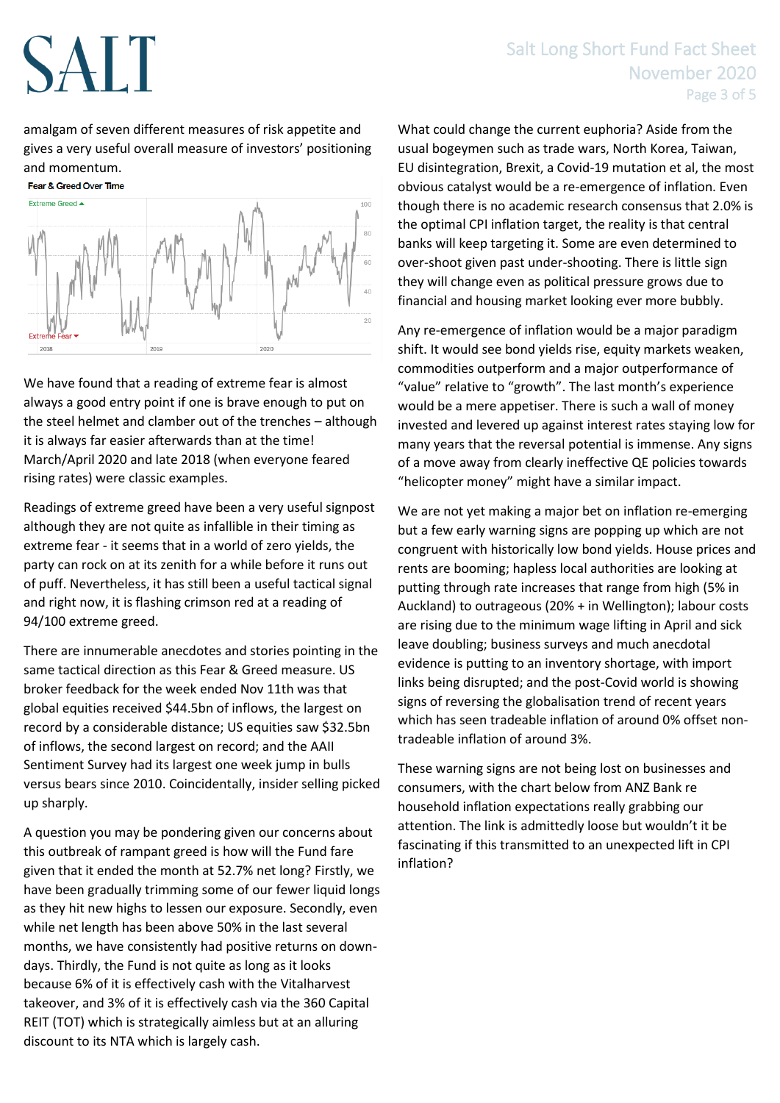# SALT

## Salt Long Short Fund Fact Sheet November 2020 Page 3 of 5

amalgam of seven different measures of risk appetite and gives a very useful overall measure of investors' positioning and momentum.



We have found that a reading of extreme fear is almost always a good entry point if one is brave enough to put on the steel helmet and clamber out of the trenches – although it is always far easier afterwards than at the time! March/April 2020 and late 2018 (when everyone feared rising rates) were classic examples.

Readings of extreme greed have been a very useful signpost although they are not quite as infallible in their timing as extreme fear - it seems that in a world of zero yields, the party can rock on at its zenith for a while before it runs out of puff. Nevertheless, it has still been a useful tactical signal and right now, it is flashing crimson red at a reading of 94/100 extreme greed.

There are innumerable anecdotes and stories pointing in the same tactical direction as this Fear & Greed measure. US broker feedback for the week ended Nov 11th was that global equities received \$44.5bn of inflows, the largest on record by a considerable distance; US equities saw \$32.5bn of inflows, the second largest on record; and the AAII Sentiment Survey had its largest one week jump in bulls versus bears since 2010. Coincidentally, insider selling picked up sharply.

A question you may be pondering given our concerns about this outbreak of rampant greed is how will the Fund fare given that it ended the month at 52.7% net long? Firstly, we have been gradually trimming some of our fewer liquid longs as they hit new highs to lessen our exposure. Secondly, even while net length has been above 50% in the last several months, we have consistently had positive returns on downdays. Thirdly, the Fund is not quite as long as it looks because 6% of it is effectively cash with the Vitalharvest takeover, and 3% of it is effectively cash via the 360 Capital REIT (TOT) which is strategically aimless but at an alluring discount to its NTA which is largely cash.

What could change the current euphoria? Aside from the usual bogeymen such as trade wars, North Korea, Taiwan, EU disintegration, Brexit, a Covid-19 mutation et al, the most obvious catalyst would be a re-emergence of inflation. Even though there is no academic research consensus that 2.0% is the optimal CPI inflation target, the reality is that central banks will keep targeting it. Some are even determined to over-shoot given past under-shooting. There is little sign they will change even as political pressure grows due to financial and housing market looking ever more bubbly.

Any re-emergence of inflation would be a major paradigm shift. It would see bond yields rise, equity markets weaken, commodities outperform and a major outperformance of "value" relative to "growth". The last month's experience would be a mere appetiser. There is such a wall of money invested and levered up against interest rates staying low for many years that the reversal potential is immense. Any signs of a move away from clearly ineffective QE policies towards "helicopter money" might have a similar impact.

We are not yet making a major bet on inflation re-emerging but a few early warning signs are popping up which are not congruent with historically low bond yields. House prices and rents are booming; hapless local authorities are looking at putting through rate increases that range from high (5% in Auckland) to outrageous (20% + in Wellington); labour costs are rising due to the minimum wage lifting in April and sick leave doubling; business surveys and much anecdotal evidence is putting to an inventory shortage, with import links being disrupted; and the post-Covid world is showing signs of reversing the globalisation trend of recent years which has seen tradeable inflation of around 0% offset nontradeable inflation of around 3%.

These warning signs are not being lost on businesses and consumers, with the chart below from ANZ Bank re household inflation expectations really grabbing our attention. The link is admittedly loose but wouldn't it be fascinating if this transmitted to an unexpected lift in CPI inflation?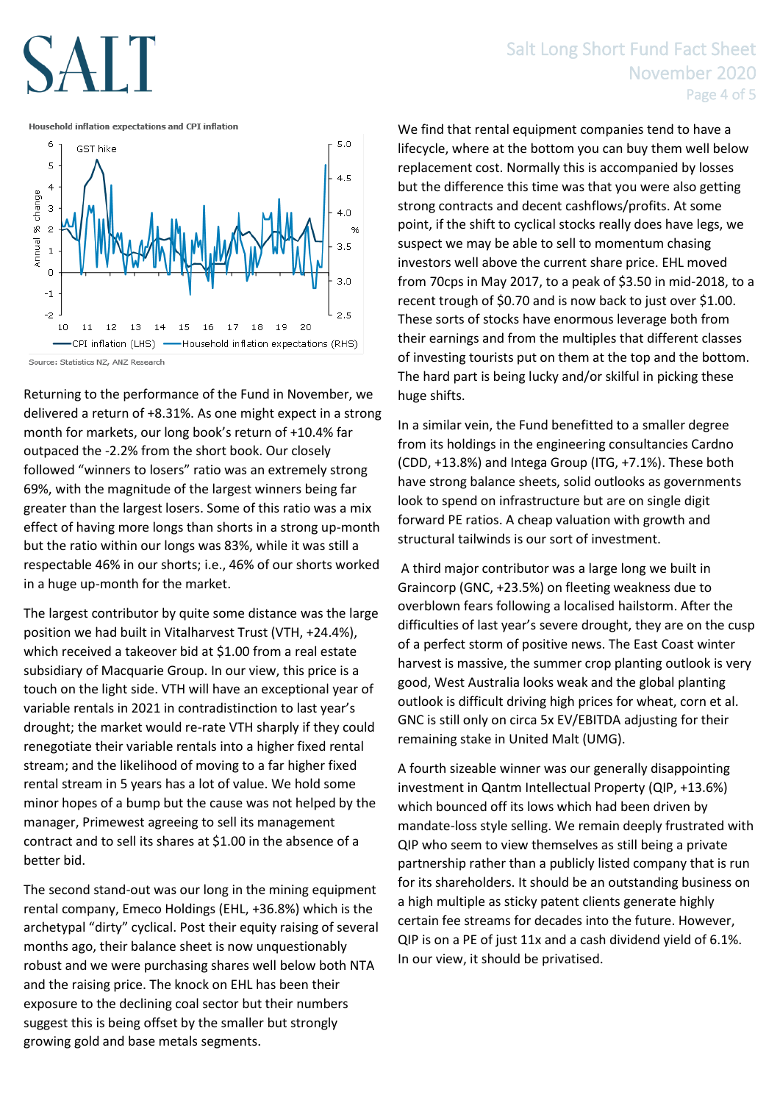# AIT

### Salt Long Short Fund Fact Sheet November 2020 Page 4 of 5

Household inflation expectations and CPI inflation



Source: Statistics NZ, ANZ Research

Returning to the performance of the Fund in November, we delivered a return of +8.31%. As one might expect in a strong month for markets, our long book's return of +10.4% far outpaced the -2.2% from the short book. Our closely followed "winners to losers" ratio was an extremely strong 69%, with the magnitude of the largest winners being far greater than the largest losers. Some of this ratio was a mix effect of having more longs than shorts in a strong up-month but the ratio within our longs was 83%, while it was still a respectable 46% in our shorts; i.e., 46% of our shorts worked in a huge up-month for the market.

The largest contributor by quite some distance was the large position we had built in Vitalharvest Trust (VTH, +24.4%), which received a takeover bid at \$1.00 from a real estate subsidiary of Macquarie Group. In our view, this price is a touch on the light side. VTH will have an exceptional year of variable rentals in 2021 in contradistinction to last year's drought; the market would re-rate VTH sharply if they could renegotiate their variable rentals into a higher fixed rental stream; and the likelihood of moving to a far higher fixed rental stream in 5 years has a lot of value. We hold some minor hopes of a bump but the cause was not helped by the manager, Primewest agreeing to sell its management contract and to sell its shares at \$1.00 in the absence of a better bid.

The second stand-out was our long in the mining equipment rental company, Emeco Holdings (EHL, +36.8%) which is the archetypal "dirty" cyclical. Post their equity raising of several months ago, their balance sheet is now unquestionably robust and we were purchasing shares well below both NTA and the raising price. The knock on EHL has been their exposure to the declining coal sector but their numbers suggest this is being offset by the smaller but strongly growing gold and base metals segments.

We find that rental equipment companies tend to have a lifecycle, where at the bottom you can buy them well below replacement cost. Normally this is accompanied by losses but the difference this time was that you were also getting strong contracts and decent cashflows/profits. At some point, if the shift to cyclical stocks really does have legs, we suspect we may be able to sell to momentum chasing investors well above the current share price. EHL moved from 70cps in May 2017, to a peak of \$3.50 in mid-2018, to a recent trough of \$0.70 and is now back to just over \$1.00. These sorts of stocks have enormous leverage both from their earnings and from the multiples that different classes of investing tourists put on them at the top and the bottom. The hard part is being lucky and/or skilful in picking these huge shifts.

In a similar vein, the Fund benefitted to a smaller degree from its holdings in the engineering consultancies Cardno (CDD, +13.8%) and Intega Group (ITG, +7.1%). These both have strong balance sheets, solid outlooks as governments look to spend on infrastructure but are on single digit forward PE ratios. A cheap valuation with growth and structural tailwinds is our sort of investment.

A third major contributor was a large long we built in Graincorp (GNC, +23.5%) on fleeting weakness due to overblown fears following a localised hailstorm. After the difficulties of last year's severe drought, they are on the cusp of a perfect storm of positive news. The East Coast winter harvest is massive, the summer crop planting outlook is very good, West Australia looks weak and the global planting outlook is difficult driving high prices for wheat, corn et al. GNC is still only on circa 5x EV/EBITDA adjusting for their remaining stake in United Malt (UMG).

A fourth sizeable winner was our generally disappointing investment in Qantm Intellectual Property (QIP, +13.6%) which bounced off its lows which had been driven by mandate-loss style selling. We remain deeply frustrated with QIP who seem to view themselves as still being a private partnership rather than a publicly listed company that is run for its shareholders. It should be an outstanding business on a high multiple as sticky patent clients generate highly certain fee streams for decades into the future. However, QIP is on a PE of just 11x and a cash dividend yield of 6.1%. In our view, it should be privatised.